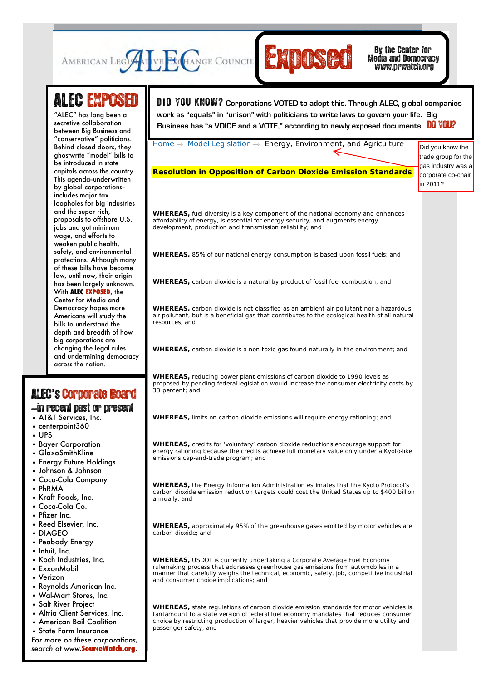

Media and Democracy www.prwatch.org

## **ALEC EXPOSED**

between Big Business and Behind closed doors, they **Civil Justice** be introduced in state **Commerce, Insurance,** capitols across the country. This agenda–underwritten **Development** by global corporations-- **Education** loopholes for big industries **Energy, Environment, and Agriculture** proposals to offshore U.S. **Federal Relations** wage, and efforts to **Health and Human** safety, and environmental **Services** protections. Although many **International Relations** law, until now, their origin **Public Setup** Setup **With ALEC EXPOSED**, the Democracy hopes more **Telecommunications** bills to understand the **and Information** depth and breadth of how **Technology** big corporations are and undermining democracy  $\bullet$  Hencing "ALEC" has long been a secretive collaboration "conservative" politicians. ghostwrite "model" bills to includes major tax and the super rich, jobs and gut minimum weaken public health, of these bills have become has been largely unknown. Center for Media and Americans will study the changing the legal rules across the nation.

## ALEC**'**s'Corporate Board

## --in recent past or present

- AT&T Services, Inc.
- centerpoint360
- UPS
- Bayer Corporation
- GlaxoSmithKline
- Energy Future Holdings
- Johnson & Johnson
- Coca-Cola Company
- PhRMA
- Kraft Foods, Inc.
- Coca-Cola Co.
- Pfizer Inc.
- Reed Elsevier, Inc.
- DIAGEO
- Peabody Energy
- Intuit, Inc.
- Koch Industries, Inc. • ExxonMobil
- Verizon
- Reynolds American Inc.
- Wal-Mart Stores, Inc.
- Salt River Project
- Altria Client Services, Inc.
- American Bail Coalition
- State Farm Insurance
- *For more on these corporations,*

*search at www.***SourceWatch.org**.

Search GO **LOGIN** | **LOGOUT** | **HOME** | **JOIN ALEC** | **CONTACT** D **I** D YOU KNOW? **Corporations VOTED to adopt this. Through ALEC, global companies**  ecretive collaboration **DECETING MODEL 20** Business has "a VOICE and a VOTE," according to newly exposed documents. **DO YOU? work as "equals" in "unison" with politicians to write laws to govern your life. Big** 

Home  $\rightarrow$  Model Legislation  $\rightarrow$  Energy, Environment, and Agriculture

**Resolution in Opposition of Carbon Dioxide Emission Standards**

Did you know the trade group for the gas industry was a corporate co-chair in 2011?

**WHEREAS,** fuel diversity is a key component of the national economy and enhances affordability of energy, is essential for energy security, and augments energy development, production and transmission reliability; and

**WHEREAS,** 85% of our national energy consumption is based upon fossil fuels; and

**WHEREAS,** carbon dioxide is a natural by-product of fossil fuel combustion; and

**WHEREAS,** carbon dioxide is not classified as an ambient air pollutant nor a hazardous air pollutant, but is a beneficial gas that contributes to the ecological health of all natural resources; and

**WHEREAS,** carbon dioxide is a non-toxic gas found naturally in the environment; and

**WHEREAS,** reducing power plant emissions of carbon dioxide to 1990 levels as proposed by pending federal legislation would increase the consumer electricity costs by 33 percent; and

**WHEREAS,** limits on carbon dioxide emissions will require energy rationing; and

**WHEREAS,** credits for 'voluntary' carbon dioxide reductions encourage support for energy rationing because the credits achieve full monetary value only under a Kyoto-like emissions cap-and-trade program; and

**WHEREAS,** the Energy Information Administration estimates that the Kyoto Protocol's carbon dioxide emission reduction targets could cost the United States up to \$400 billion annually; and

**WHEREAS,** approximately 95% of the greenhouse gases emitted by motor vehicles are carbon dioxide; and

**WHEREAS,** USDOT is currently undertaking a Corporate Average Fuel Economy rulemaking process that addresses greenhouse gas emissions from automobiles in a manner that carefully weighs the technical, economic, safety, job, competitive industrial and consumer choice implications; and

**WHEREAS,** state regulations of carbon dioxide emission standards for motor vehicles is tantamount to a state version of federal fuel economy mandates that reduces consumer choice by restricting production of larger, heavier vehicles that provide more utility and passenger safety; and